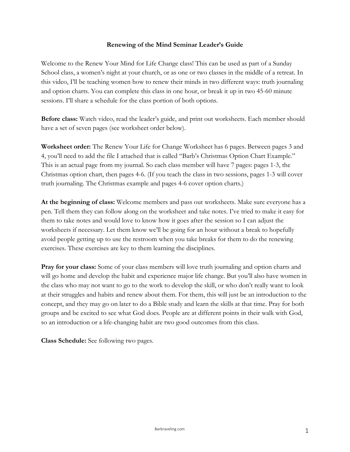### **Renewing of the Mind Seminar Leader's Guide**

Welcome to the Renew Your Mind for Life Change class! This can be used as part of a Sunday School class, a women's night at your church, or as one or two classes in the middle of a retreat. In this video, I'll be teaching women how to renew their minds in two different ways: truth journaling and option charts. You can complete this class in one hour, or break it up in two 45-60 minute sessions. I'll share a schedule for the class portion of both options.

**Before class:** Watch video, read the leader's guide, and print out worksheets. Each member should have a set of seven pages (see worksheet order below).

**Worksheet order:** The Renew Your Life for Change Worksheet has 6 pages. Between pages 3 and 4, you'll need to add the file I attached that is called "Barb's Christmas Option Chart Example." This is an actual page from my journal. So each class member will have 7 pages: pages 1-3, the Christmas option chart, then pages 4-6. (If you teach the class in two sessions, pages 1-3 will cover truth journaling. The Christmas example and pages 4-6 cover option charts.)

**At the beginning of class:** Welcome members and pass out worksheets. Make sure everyone has a pen. Tell them they can follow along on the worksheet and take notes. I've tried to make it easy for them to take notes and would love to know how it goes after the session so I can adjust the worksheets if necessary. Let them know we'll be going for an hour without a break to hopefully avoid people getting up to use the restroom when you take breaks for them to do the renewing exercises. These exercises are key to them learning the disciplines.

**Pray for your class:** Some of your class members will love truth journaling and option charts and will go home and develop the habit and experience major life change. But you'll also have women in the class who may not want to go to the work to develop the skill, or who don't really want to look at their struggles and habits and renew about them. For them, this will just be an introduction to the concept, and they may go on later to do a Bible study and learn the skills at that time. Pray for both groups and be excited to see what God does. People are at different points in their walk with God, so an introduction or a life-changing habit are two good outcomes from this class.

**Class Schedule:** See following two pages.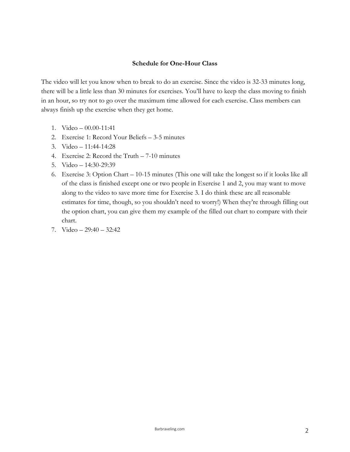### **Schedule for One-Hour Class**

The video will let you know when to break to do an exercise. Since the video is 32-33 minutes long, there will be a little less than 30 minutes for exercises. You'll have to keep the class moving to finish in an hour, so try not to go over the maximum time allowed for each exercise. Class members can always finish up the exercise when they get home.

- 1. Video 00.00-11:41
- 2. Exercise 1: Record Your Beliefs 3-5 minutes
- 3. Video 11:44-14:28
- 4. Exercise 2: Record the Truth 7-10 minutes
- 5. Video 14:30-29:39
- 6. Exercise 3: Option Chart 10-15 minutes (This one will take the longest so if it looks like all of the class is finished except one or two people in Exercise 1 and 2, you may want to move along to the video to save more time for Exercise 3. I do think these are all reasonable estimates for time, though, so you shouldn't need to worry!) When they're through filling out the option chart, you can give them my example of the filled out chart to compare with their chart.
- 7. Video 29:40 32:42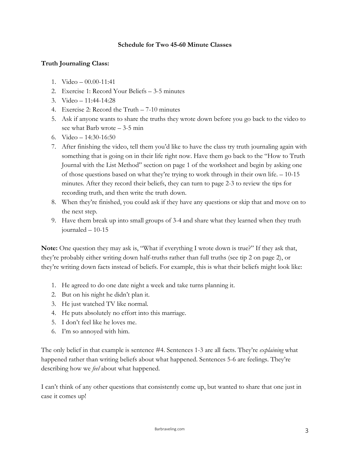## **Schedule for Two 45-60 Minute Classes**

## **Truth Journaling Class:**

- 1. Video 00.00-11:41
- 2. Exercise 1: Record Your Beliefs 3-5 minutes
- 3. Video 11:44-14:28
- 4. Exercise 2: Record the Truth 7-10 minutes
- 5. Ask if anyone wants to share the truths they wrote down before you go back to the video to see what Barb wrote – 3-5 min
- 6. Video 14:30-16:50
- 7. After finishing the video, tell them you'd like to have the class try truth journaling again with something that is going on in their life right now. Have them go back to the "How to Truth Journal with the List Method" section on page 1 of the worksheet and begin by asking one of those questions based on what they're trying to work through in their own life. – 10-15 minutes. After they record their beliefs, they can turn to page 2-3 to review the tips for recording truth, and then write the truth down.
- 8. When they're finished, you could ask if they have any questions or skip that and move on to the next step.
- 9. Have them break up into small groups of 3-4 and share what they learned when they truth journaled – 10-15

**Note:** One question they may ask is, "What if everything I wrote down is true?" If they ask that, they're probably either writing down half-truths rather than full truths (see tip 2 on page 2), or they're writing down facts instead of beliefs. For example, this is what their beliefs might look like:

- 1. He agreed to do one date night a week and take turns planning it.
- 2. But on his night he didn't plan it.
- 3. He just watched TV like normal.
- 4. He puts absolutely no effort into this marriage.
- 5. I don't feel like he loves me.
- 6. I'm so annoyed with him.

The only belief in that example is sentence #4. Sentences 1-3 are all facts. They're *explaining* what happened rather than writing beliefs about what happened. Sentences 5-6 are feelings. They're describing how we *feel* about what happened.

I can't think of any other questions that consistently come up, but wanted to share that one just in case it comes up!